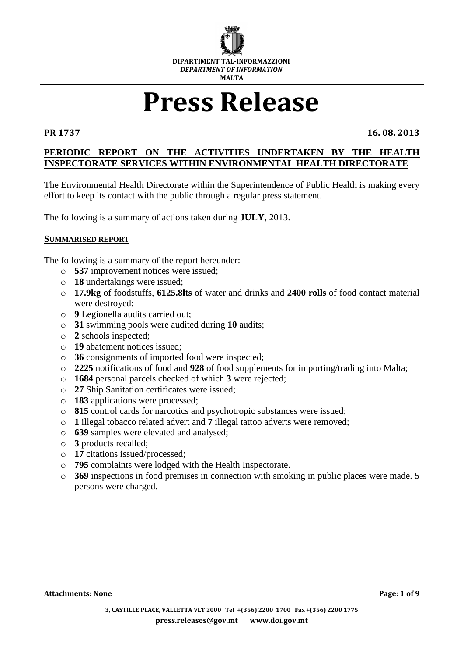

# **Press Release**

**PR 1737 16. 08. 2013**

# **PERIODIC REPORT ON THE ACTIVITIES UNDERTAKEN BY THE HEALTH INSPECTORATE SERVICES WITHIN ENVIRONMENTAL HEALTH DIRECTORATE**

The Environmental Health Directorate within the Superintendence of Public Health is making every effort to keep its contact with the public through a regular press statement.

The following is a summary of actions taken during **JULY**, 2013.

#### **SUMMARISED REPORT**

The following is a summary of the report hereunder:

- o **537** improvement notices were issued;
- o **18** undertakings were issued;
- o **17.9kg** of foodstuffs, **6125.8lts** of water and drinks and **2400 rolls** of food contact material were destroyed;
- o **9** Legionella audits carried out;
- o **31** swimming pools were audited during **10** audits;
- o **2** schools inspected;
- o **19** abatement notices issued;
- o **36** consignments of imported food were inspected;
- o **2225** notifications of food and **928** of food supplements for importing/trading into Malta;
- o **1684** personal parcels checked of which **3** were rejected;
- o **27** Ship Sanitation certificates were issued;
- o **183** applications were processed;
- o **815** control cards for narcotics and psychotropic substances were issued;
- o **1** illegal tobacco related advert and **7** illegal tattoo adverts were removed;
- o **639** samples were elevated and analysed;
- o **3** products recalled;
- o **17** citations issued/processed;
- o **795** complaints were lodged with the Health Inspectorate.
- o **369** inspections in food premises in connection with smoking in public places were made. 5 persons were charged.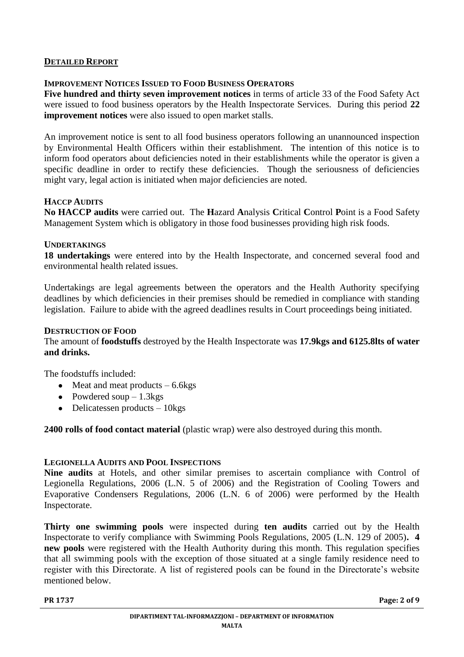# **DETAILED REPORT**

# **IMPROVEMENT NOTICES ISSUED TO FOOD BUSINESS OPERATORS**

**Five hundred and thirty seven improvement notices** in terms of article 33 of the Food Safety Act were issued to food business operators by the Health Inspectorate Services. During this period **22 improvement notices** were also issued to open market stalls.

An improvement notice is sent to all food business operators following an unannounced inspection by Environmental Health Officers within their establishment. The intention of this notice is to inform food operators about deficiencies noted in their establishments while the operator is given a specific deadline in order to rectify these deficiencies. Though the seriousness of deficiencies might vary, legal action is initiated when major deficiencies are noted.

### **HACCP AUDITS**

**No HACCP audits** were carried out. The **H**azard **A**nalysis **C**ritical **C**ontrol **P**oint is a Food Safety Management System which is obligatory in those food businesses providing high risk foods.

#### **UNDERTAKINGS**

**18 undertakings** were entered into by the Health Inspectorate, and concerned several food and environmental health related issues.

Undertakings are legal agreements between the operators and the Health Authority specifying deadlines by which deficiencies in their premises should be remedied in compliance with standing legislation. Failure to abide with the agreed deadlines results in Court proceedings being initiated.

#### **DESTRUCTION OF FOOD** The amount of **foodstuffs** destroyed by the Health Inspectorate was **17.9kgs and 6125.8lts of water and drinks.**

The foodstuffs included:

- $\bullet$  Meat and meat products  $-6.6$ kgs
- Powdered soup  $-1.3$ kgs
- $\bullet$  Delicatessen products 10kgs

**2400 rolls of food contact material** (plastic wrap) were also destroyed during this month.

#### **LEGIONELLA AUDITS AND POOL INSPECTIONS**

**Nine audits** at Hotels, and other similar premises to ascertain compliance with Control of Legionella Regulations, 2006 (L.N. 5 of 2006) and the Registration of Cooling Towers and Evaporative Condensers Regulations, 2006 (L.N. 6 of 2006) were performed by the Health Inspectorate.

**Thirty one swimming pools** were inspected during **ten audits** carried out by the Health Inspectorate to verify compliance with Swimming Pools Regulations, 2005 (L.N. 129 of 2005)**. 4 new pools** were registered with the Health Authority during this month. This regulation specifies that all swimming pools with the exception of those situated at a single family residence need to register with this Directorate. A list of registered pools can be found in the Directorate's website mentioned below.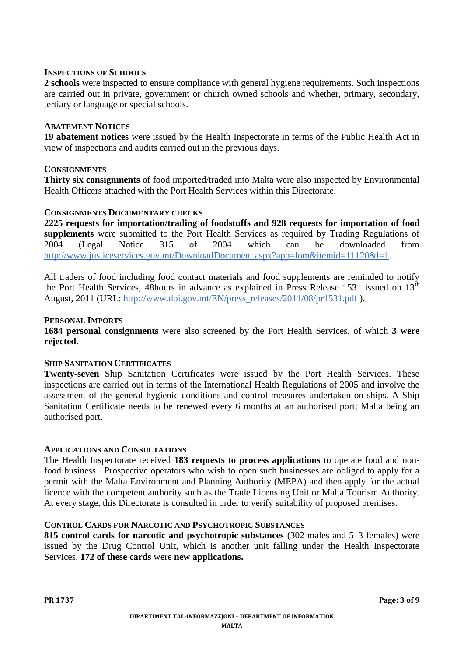### **INSPECTIONS OF SCHOOLS**

**2 schools** were inspected to ensure compliance with general hygiene requirements. Such inspections are carried out in private, government or church owned schools and whether, primary, secondary, tertiary or language or special schools.

## **ABATEMENT NOTICES**

**19 abatement notices** were issued by the Health Inspectorate in terms of the Public Health Act in view of inspections and audits carried out in the previous days.

# **CONSIGNMENTS**

**Thirty six consignments** of food imported/traded into Malta were also inspected by Environmental Health Officers attached with the Port Health Services within this Directorate.

# **CONSIGNMENTS DOCUMENTARY CHECKS**

**2225 requests for importation/trading of foodstuffs and 928 requests for importation of food supplements** were submitted to the Port Health Services as required by Trading Regulations of 2004 (Legal Notice 315 of 2004 which can be downloaded from [http://www.justiceservices.gov.mt/DownloadDocument.aspx?app=lom&itemid=11120&l=1.](http://www.justiceservices.gov.mt/DownloadDocument.aspx?app=lom&itemid=11120&l=1)

All traders of food including food contact materials and food supplements are reminded to notify the Port Health Services, 48hours in advance as explained in Press Release 1531 issued on  $13<sup>th</sup>$ August, 2011 (URL: [http://www.doi.gov.mt/EN/press\\_releases/2011/08/pr1531.pdf](http://www.doi.gov.mt/EN/press_releases/2011/08/pr1531.pdf) ).

# **PERSONAL IMPORTS**

**1684 personal consignments** were also screened by the Port Health Services, of which **3 were rejected**.

#### **SHIP SANITATION CERTIFICATES**

**Twenty-seven** Ship Sanitation Certificates were issued by the Port Health Services. These inspections are carried out in terms of the International Health Regulations of 2005 and involve the assessment of the general hygienic conditions and control measures undertaken on ships. A Ship Sanitation Certificate needs to be renewed every 6 months at an authorised port; Malta being an authorised port.

#### **APPLICATIONS AND CONSULTATIONS**

The Health Inspectorate received **183 requests to process applications** to operate food and nonfood business. Prospective operators who wish to open such businesses are obliged to apply for a permit with the Malta Environment and Planning Authority (MEPA) and then apply for the actual licence with the competent authority such as the Trade Licensing Unit or Malta Tourism Authority. At every stage, this Directorate is consulted in order to verify suitability of proposed premises.

# **CONTROL CARDS FOR NARCOTIC AND PSYCHOTROPIC SUBSTANCES**

**815 control cards for narcotic and psychotropic substances** (302 males and 513 females) were issued by the Drug Control Unit, which is another unit falling under the Health Inspectorate Services. **172 of these cards** were **new applications.**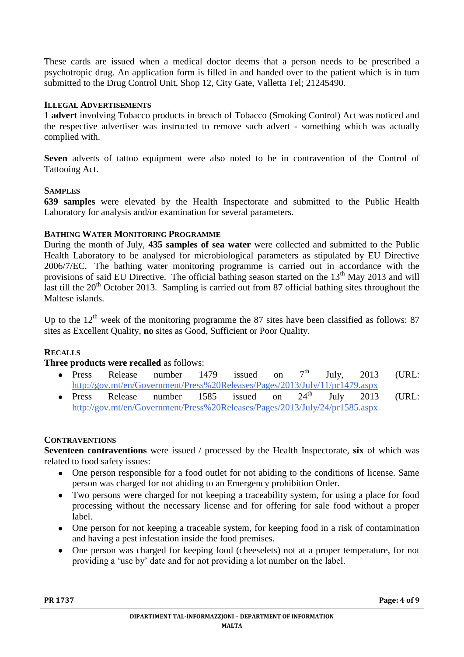These cards are issued when a medical doctor deems that a person needs to be prescribed a psychotropic drug. An application form is filled in and handed over to the patient which is in turn submitted to the Drug Control Unit, Shop 12, City Gate, Valletta Tel; 21245490.

# **ILLEGAL ADVERTISEMENTS**

**1 advert** involving Tobacco products in breach of Tobacco (Smoking Control) Act was noticed and the respective advertiser was instructed to remove such advert - something which was actually complied with.

**Seven** adverts of tattoo equipment were also noted to be in contravention of the Control of Tattooing Act.

#### **SAMPLES**

**639 samples** were elevated by the Health Inspectorate and submitted to the Public Health Laboratory for analysis and/or examination for several parameters.

# **BATHING WATER MONITORING PROGRAMME**

During the month of July, **435 samples of sea water** were collected and submitted to the Public Health Laboratory to be analysed for microbiological parameters as stipulated by EU Directive 2006/7/EC. The bathing water monitoring programme is carried out in accordance with the provisions of said EU Directive. The official bathing season started on the 13<sup>th</sup> May 2013 and will last till the  $20<sup>th</sup>$  October 2013. Sampling is carried out from 87 official bathing sites throughout the Maltese islands.

Up to the  $12<sup>th</sup>$  week of the monitoring programme the 87 sites have been classified as follows: 87 sites as Excellent Quality, **no** sites as Good, Sufficient or Poor Quality.

# **RECALLS**

#### **Three products were recalled** as follows:

- Press Release number 1479 issued on  $7<sup>th</sup>$  July, 2013 (URL: <http://gov.mt/en/Government/Press%20Releases/Pages/2013/July/11/pr1479.aspx><br>Press Release number 1585 issued on 24<sup>th</sup> July 2013
- Press Release number 1585 issued on 24<sup>th</sup> July 2013 (URL: <http://gov.mt/en/Government/Press%20Releases/Pages/2013/July/24/pr1585.aspx>

### **CONTRAVENTIONS**

**Seventeen contraventions** were issued / processed by the Health Inspectorate, **six** of which was related to food safety issues:

- One person responsible for a food outlet for not abiding to the conditions of license. Same person was charged for not abiding to an Emergency prohibition Order.
- Two persons were charged for not keeping a traceability system, for using a place for food processing without the necessary license and for offering for sale food without a proper label.
- One person for not keeping a traceable system, for keeping food in a risk of contamination  $\bullet$ and having a pest infestation inside the food premises.
- $\bullet$ One person was charged for keeping food (cheeselets) not at a proper temperature, for not providing a 'use by' date and for not providing a lot number on the label.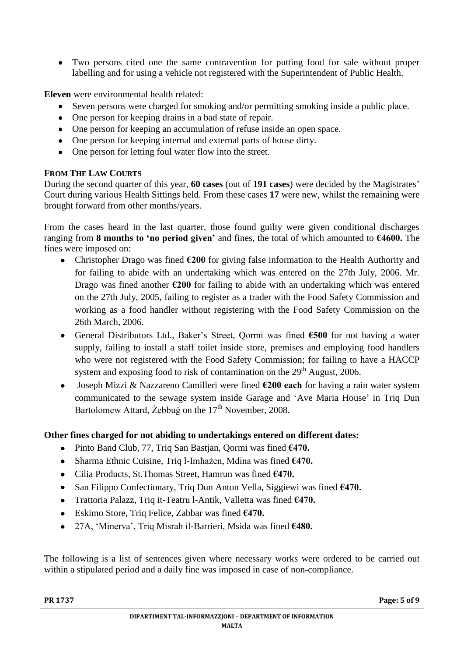Two persons cited one the same contravention for putting food for sale without proper labelling and for using a vehicle not registered with the Superintendent of Public Health.

**Eleven** were environmental health related:

- Seven persons were charged for smoking and/or permitting smoking inside a public place.
- One person for keeping drains in a bad state of repair.  $\bullet$
- One person for keeping an accumulation of refuse inside an open space.
- One person for keeping internal and external parts of house dirty.
- One person for letting foul water flow into the street.

# **FROM THE LAW COURTS**

During the second quarter of this year, **60 cases** (out of **191 cases**) were decided by the Magistrates' Court during various Health Sittings held. From these cases **17** were new, whilst the remaining were brought forward from other months/years.

From the cases heard in the last quarter, those found guilty were given conditional discharges ranging from **8 months to 'no period given'** and fines, the total of which amounted to **€4600.** The fines were imposed on:

- Christopher Drago was fined **€200** for giving false information to the Health Authority and for failing to abide with an undertaking which was entered on the 27th July, 2006. Mr. Drago was fined another **€200** for failing to abide with an undertaking which was entered on the 27th July, 2005, failing to register as a trader with the Food Safety Commission and working as a food handler without registering with the Food Safety Commission on the 26th March, 2006.
- General Distributors Ltd., Baker's Street, Qormi was fined **€500** for not having a water supply, failing to install a staff toilet inside store, premises and employing food handlers who were not registered with the Food Safety Commission; for failing to have a HACCP system and exposing food to risk of contamination on the  $29<sup>th</sup>$  August, 2006.
- Joseph Mizzi & Nazzareno Camilleri were fined **€200 each** for having a rain water system communicated to the sewage system inside Garage and 'Ave Maria House' in Triq Dun Bartolomew Attard, Żebbuġ on the 17<sup>th</sup> November, 2008.

# **Other fines charged for not abiding to undertakings entered on different dates:**

- Pinto Band Club, 77, Triq San Bastjan, Qormi was fined **€470.**
- Sharma Ethnic Cuisine, Triq l-Imħażen, Mdina was fined **€470.**  $\bullet$
- Cilia Products, St.Thomas Street, Hamrun was fined **€470.**
- San Filippo Confectionary, Triq Dun Anton Vella, Siggiewi was fined **€470.**  $\bullet$
- Trattoria Palazz, Triq it-Teatru l-Antik, Valletta was fined **€470.**
- Eskimo Store, Triq Felice, Zabbar was fined **€470.**
- 27A, 'Minerva', Triq Misraħ il-Barrieri, Msida was fined **€480.**

The following is a list of sentences given where necessary works were ordered to be carried out within a stipulated period and a daily fine was imposed in case of non-compliance.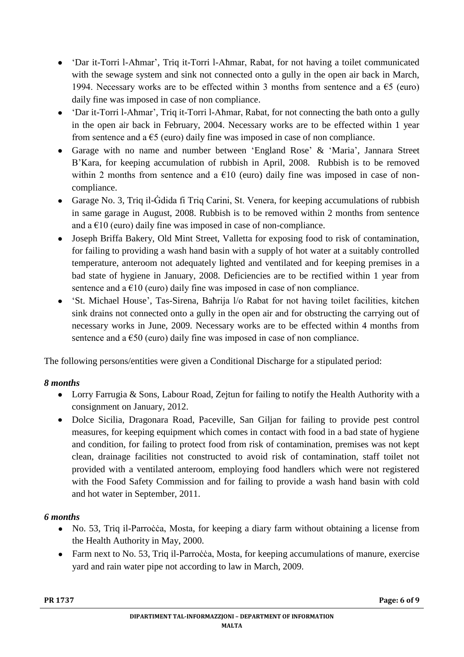- 'Dar it-Torri l-Aħmar', Triq it-Torri l-Aħmar, Rabat, for not having a toilet communicated with the sewage system and sink not connected onto a gully in the open air back in March, 1994. Necessary works are to be effected within 3 months from sentence and a  $\epsilon$ 5 (euro) daily fine was imposed in case of non compliance.
- 'Dar it-Torri l-Aħmar', Triq it-Torri l-Aħmar, Rabat, for not connecting the bath onto a gully in the open air back in February, 2004. Necessary works are to be effected within 1 year from sentence and a  $\epsilon$ 5 (euro) daily fine was imposed in case of non compliance.
- Garage with no name and number between 'England Rose' & 'Maria', Jannara Street B'Kara, for keeping accumulation of rubbish in April, 2008. Rubbish is to be removed within 2 months from sentence and a  $E10$  (euro) daily fine was imposed in case of noncompliance.
- Garage No. 3, Triq il-Ġdida fi Triq Carini, St. Venera, for keeping accumulations of rubbish in same garage in August, 2008. Rubbish is to be removed within 2 months from sentence and a  $E10$  (euro) daily fine was imposed in case of non-compliance.
- $\bullet$ Joseph Briffa Bakery, Old Mint Street, Valletta for exposing food to risk of contamination, for failing to providing a wash hand basin with a supply of hot water at a suitably controlled temperature, anteroom not adequately lighted and ventilated and for keeping premises in a bad state of hygiene in January, 2008. Deficiencies are to be rectified within 1 year from sentence and a  $\epsilon$ 10 (euro) daily fine was imposed in case of non compliance.
- 'St. Michael House', Tas-Sirena, Baħrija l/o Rabat for not having toilet facilities, kitchen sink drains not connected onto a gully in the open air and for obstructing the carrying out of necessary works in June, 2009. Necessary works are to be effected within 4 months from sentence and a  $\epsilon$ 50 (euro) daily fine was imposed in case of non compliance.

The following persons/entities were given a Conditional Discharge for a stipulated period:

# *8 months*

- Lorry Farrugia & Sons, Labour Road, Zejtun for failing to notify the Health Authority with a consignment on January, 2012.
- Dolce Sicilia, Dragonara Road, Paceville, San Giljan for failing to provide pest control measures, for keeping equipment which comes in contact with food in a bad state of hygiene and condition, for failing to protect food from risk of contamination, premises was not kept clean, drainage facilities not constructed to avoid risk of contamination, staff toilet not provided with a ventilated anteroom, employing food handlers which were not registered with the Food Safety Commission and for failing to provide a wash hand basin with cold and hot water in September, 2011.

# *6 months*

- No. 53, Triq il-Parroċċa, Mosta, for keeping a diary farm without obtaining a license from  $\bullet$ the Health Authority in May, 2000.
- Farm next to No. 53, Triq il-Parrocèa, Mosta, for keeping accumulations of manure, exercise yard and rain water pipe not according to law in March, 2009.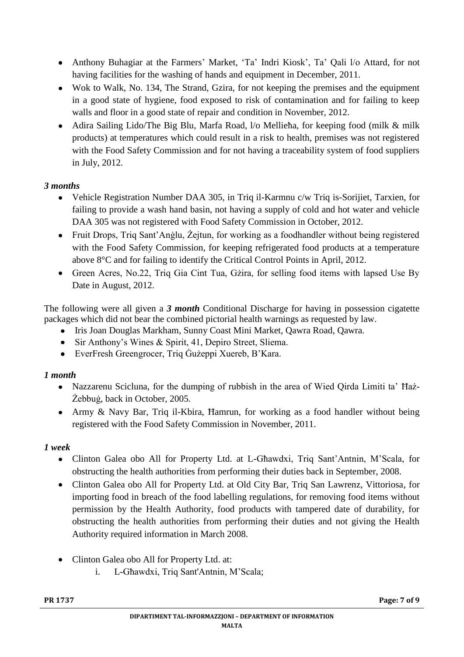- Anthony Buhagiar at the Farmers' Market, 'Ta' Indri Kiosk', Ta' Qali l/o Attard, for not having facilities for the washing of hands and equipment in December, 2011.
- Wok to Walk, No. 134, The Strand, Gzira, for not keeping the premises and the equipment in a good state of hygiene, food exposed to risk of contamination and for failing to keep walls and floor in a good state of repair and condition in November, 2012.
- $\bullet$ Adira Sailing Lido/The Big Blu, Marfa Road, l/o Mellieħa, for keeping food (milk & milk products) at temperatures which could result in a risk to health, premises was not registered with the Food Safety Commission and for not having a traceability system of food suppliers in July, 2012.

# *3 months*

- Vehicle Registration Number DAA 305, in Triq il-Karmnu c/w Triq is-Sorijiet, Tarxien, for  $\bullet$ failing to provide a wash hand basin, not having a supply of cold and hot water and vehicle DAA 305 was not registered with Food Safety Commission in October, 2012.
- Fruit Drops, Trig Sant'Anglu, Żejtun, for working as a foodhandler without being registered with the Food Safety Commission, for keeping refrigerated food products at a temperature above 8°C and for failing to identify the Critical Control Points in April, 2012.
- Green Acres, No.22, Triq Gia Cint Tua, Gżira, for selling food items with lapsed Use By Date in August, 2012.

The following were all given a *3 month* Conditional Discharge for having in possession cigatette packages which did not bear the combined pictorial health warnings as requested by law.

- Iris Joan Douglas Markham, Sunny Coast Mini Market, Qawra Road, Qawra.
- Sir Anthony's Wines & Spirit, 41, Depiro Street, Sliema.
- EverFresh Greengrocer, Triq Ġużeppi Xuereb, B'Kara.

# *1 month*

- Nazzarenu Scicluna, for the dumping of rubbish in the area of Wied Qirda Limiti ta' Ħaż-Żebbuġ, back in October, 2005.
- Army & Navy Bar, Triq il-Kbira, Ħamrun, for working as a food handler without being registered with the Food Safety Commission in November, 2011.

# *1 week*

- Clinton Galea obo All for Property Ltd. at L-Għawdxi, Triq Sant'Antnin, M'Scala, for obstructing the health authorities from performing their duties back in September, 2008.
- Clinton Galea obo All for Property Ltd. at Old City Bar, Triq San Lawrenz, Vittoriosa, for importing food in breach of the food labelling regulations, for removing food items without permission by the Health Authority, food products with tampered date of durability, for obstructing the health authorities from performing their duties and not giving the Health Authority required information in March 2008.
- Clinton Galea obo All for Property Ltd. at:
	- i. L-Għawdxi, Triq Sant'Antnin, M'Scala;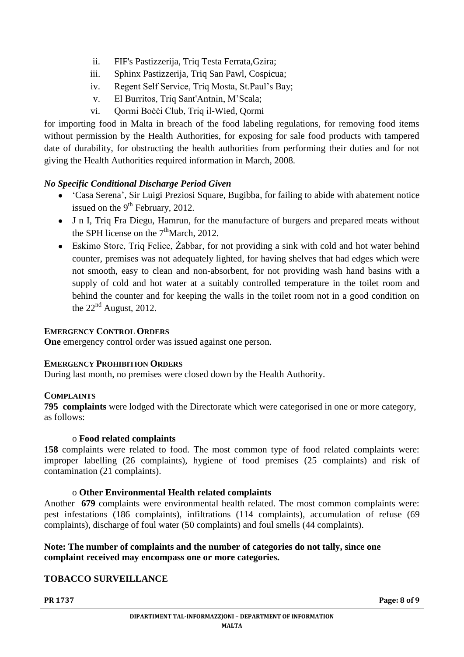- ii. FIF's Pastizzerija, Triq Testa Ferrata,Gzira;
- iii. Sphinx Pastizzerija, Triq San Pawl, Cospicua;
- iv. Regent Self Service, Triq Mosta, St.Paul's Bay;
- v. El Burritos, Triq Sant'Antnin, M'Scala;
- vi. Qormi Boċċi Club, Triq il-Wied, Qormi

for importing food in Malta in breach of the food labeling regulations, for removing food items without permission by the Health Authorities, for exposing for sale food products with tampered date of durability, for obstructing the health authorities from performing their duties and for not giving the Health Authorities required information in March, 2008.

# *No Specific Conditional Discharge Period Given*

- 'Casa Serena', Sir Luigi Preziosi Square, Bugibba, for failing to abide with abatement notice issued on the  $9<sup>th</sup>$  February, 2012.
- J n I, Triq Fra Diegu, Hamrun, for the manufacture of burgers and prepared meats without the SPH license on the  $7<sup>th</sup>$ March, 2012.
- Eskimo Store, Triq Felice, Żabbar, for not providing a sink with cold and hot water behind  $\bullet$ counter, premises was not adequately lighted, for having shelves that had edges which were not smooth, easy to clean and non-absorbent, for not providing wash hand basins with a supply of cold and hot water at a suitably controlled temperature in the toilet room and behind the counter and for keeping the walls in the toilet room not in a good condition on the  $22<sup>nd</sup>$  August, 2012.

# **EMERGENCY CONTROL ORDERS**

**One** emergency control order was issued against one person.

# **EMERGENCY PROHIBITION ORDERS**

During last month, no premises were closed down by the Health Authority.

# **COMPLAINTS**

**795 complaints** were lodged with the Directorate which were categorised in one or more category, as follows:

#### o **Food related complaints**

**158** complaints were related to food. The most common type of food related complaints were: improper labelling (26 complaints), hygiene of food premises (25 complaints) and risk of contamination (21 complaints).

# o **Other Environmental Health related complaints**

Another **679** complaints were environmental health related. The most common complaints were: pest infestations (186 complaints), infiltrations (114 complaints), accumulation of refuse (69 complaints), discharge of foul water (50 complaints) and foul smells (44 complaints).

# **Note: The number of complaints and the number of categories do not tally, since one complaint received may encompass one or more categories.**

# **TOBACCO SURVEILLANCE**